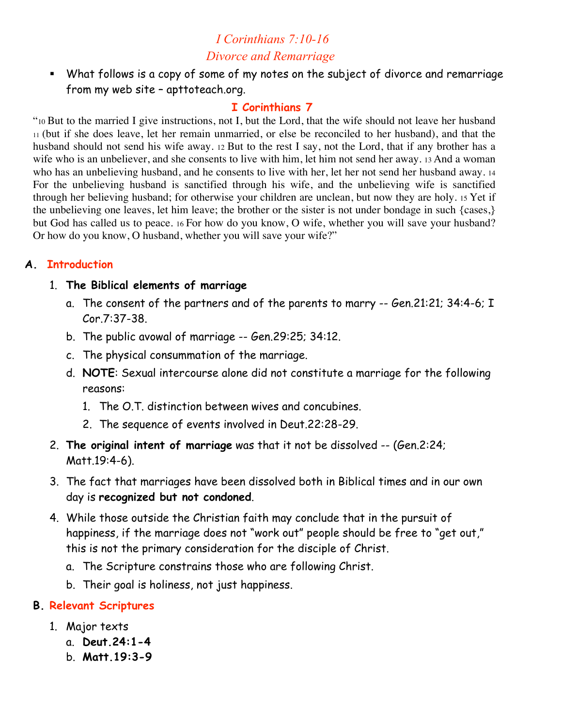# *I Corinthians 7:10-16 Divorce and Remarriage*

 What follows is a copy of some of my notes on the subject of divorce and remarriage from my web site – apttoteach.org.

#### **I Corinthians 7**

"10 But to the married I give instructions, not I, but the Lord, that the wife should not leave her husband 11 (but if she does leave, let her remain unmarried, or else be reconciled to her husband), and that the husband should not send his wife away. 12 But to the rest I say, not the Lord, that if any brother has a wife who is an unbeliever, and she consents to live with him, let him not send her away. 13 And a woman who has an unbelieving husband, and he consents to live with her, let her not send her husband away. 14 For the unbelieving husband is sanctified through his wife, and the unbelieving wife is sanctified through her believing husband; for otherwise your children are unclean, but now they are holy. 15 Yet if the unbelieving one leaves, let him leave; the brother or the sister is not under bondage in such {cases,} but God has called us to peace. 16 For how do you know, O wife, whether you will save your husband? Or how do you know, O husband, whether you will save your wife?"

#### **A. Introduction**

#### 1. **The Biblical elements of marriage**

- a. The consent of the partners and of the parents to marry -- Gen.21:21; 34:4-6; I Cor.7:37-38.
- b. The public avowal of marriage -- Gen.29:25; 34:12.
- c. The physical consummation of the marriage.
- d. **NOTE**: Sexual intercourse alone did not constitute a marriage for the following reasons:
	- 1. The O.T. distinction between wives and concubines.
	- 2. The sequence of events involved in Deut.22:28-29.
- 2. **The original intent of marriage** was that it not be dissolved -- (Gen.2:24; Matt.19:4-6).
- 3. The fact that marriages have been dissolved both in Biblical times and in our own day is **recognized but not condoned**.
- 4. While those outside the Christian faith may conclude that in the pursuit of happiness, if the marriage does not "work out" people should be free to "get out," this is not the primary consideration for the disciple of Christ.
	- a. The Scripture constrains those who are following Christ.
	- b. Their goal is holiness, not just happiness.

#### **B. Relevant Scriptures**

- 1. Major texts
	- a. **Deut.24:1-4**
	- b. **Matt.19:3-9**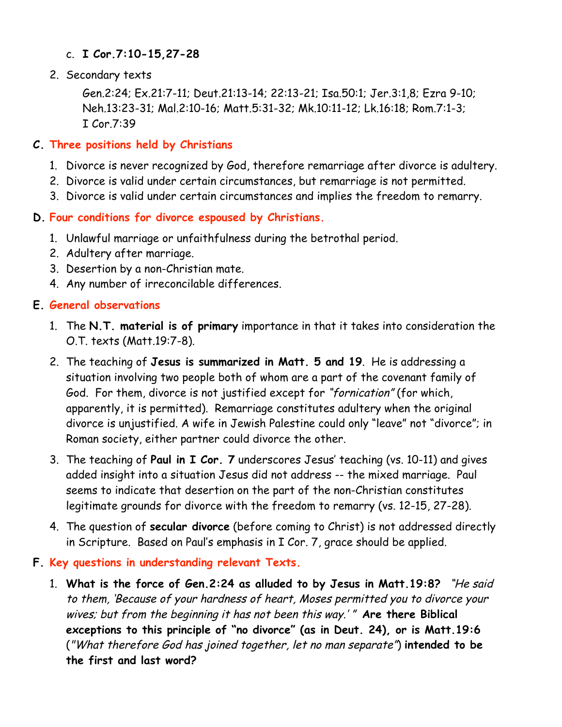#### c. **I Cor.7:10-15,27-28**

2. Secondary texts

Gen.2:24; Ex.21:7-11; Deut.21:13-14; 22:13-21; Isa.50:1; Jer.3:1,8; Ezra 9-10; Neh.13:23-31; Mal.2:10-16; Matt.5:31-32; Mk.10:11-12; Lk.16:18; Rom.7:1-3; I Cor.7:39

# **C. Three positions held by Christians**

- 1. Divorce is never recognized by God, therefore remarriage after divorce is adultery.
- 2. Divorce is valid under certain circumstances, but remarriage is not permitted.
- 3. Divorce is valid under certain circumstances and implies the freedom to remarry.

# **D. Four conditions for divorce espoused by Christians.**

- 1. Unlawful marriage or unfaithfulness during the betrothal period.
- 2. Adultery after marriage.
- 3. Desertion by a non-Christian mate.
- 4. Any number of irreconcilable differences.

### **E. General observations**

- 1. The **N.T. material is of primary** importance in that it takes into consideration the O.T. texts (Matt.19:7-8).
- 2. The teaching of **Jesus is summarized in Matt. 5 and 19**. He is addressing a situation involving two people both of whom are a part of the covenant family of God. For them, divorce is not justified except for "fornication" (for which, apparently, it is permitted). Remarriage constitutes adultery when the original divorce is unjustified. A wife in Jewish Palestine could only "leave" not "divorce"; in Roman society, either partner could divorce the other.
- 3. The teaching of **Paul in I Cor. 7** underscores Jesus' teaching (vs. 10-11) and gives added insight into a situation Jesus did not address -- the mixed marriage. Paul seems to indicate that desertion on the part of the non-Christian constitutes legitimate grounds for divorce with the freedom to remarry (vs. 12-15, 27-28).
- 4. The question of **secular divorce** (before coming to Christ) is not addressed directly in Scripture. Based on Paul's emphasis in I Cor. 7, grace should be applied.
- **F. Key questions in understanding relevant Texts.**
	- 1. **What is the force of Gen.2:24 as alluded to by Jesus in Matt.19:8?** "He said to them, 'Because of your hardness of heart, Moses permitted you to divorce your wives; but from the beginning it has not been this way.' " **Are there Biblical exceptions to this principle of "no divorce" (as in Deut. 24), or is Matt.19:6**  ("What therefore God has joined together, let no man separate") **intended to be the first and last word?**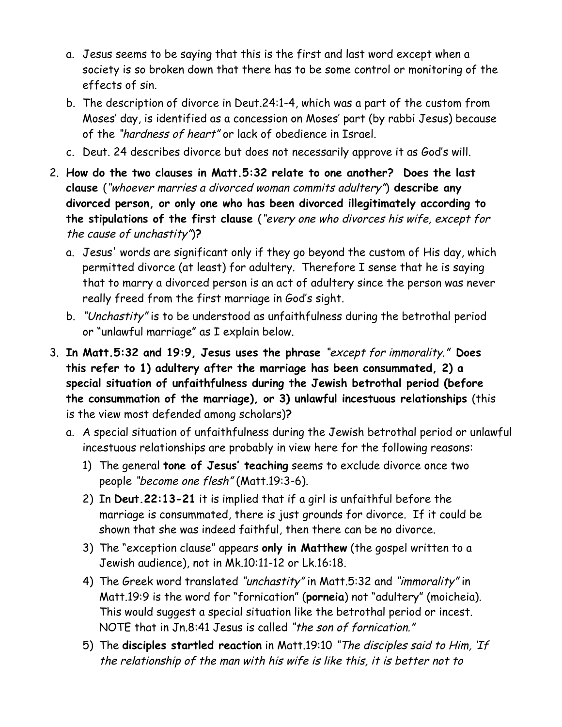- a. Jesus seems to be saying that this is the first and last word except when a society is so broken down that there has to be some control or monitoring of the effects of sin.
- b. The description of divorce in Deut.24:1-4, which was a part of the custom from Moses' day, is identified as a concession on Moses' part (by rabbi Jesus) because of the "hardness of heart" or lack of obedience in Israel.
- c. Deut. 24 describes divorce but does not necessarily approve it as God's will.
- 2. **How do the two clauses in Matt.5:32 relate to one another? Does the last clause** ("whoever marries a divorced woman commits adultery") **describe any divorced person, or only one who has been divorced illegitimately according to the stipulations of the first clause** ("every one who divorces his wife, except for the cause of unchastity")**?**
	- a. Jesus' words are significant only if they go beyond the custom of His day, which permitted divorce (at least) for adultery. Therefore I sense that he is saying that to marry a divorced person is an act of adultery since the person was never really freed from the first marriage in God's sight.
	- b. "Unchastity" is to be understood as unfaithfulness during the betrothal period or "unlawful marriage" as I explain below.
- 3. **In Matt.5:32 and 19:9, Jesus uses the phrase** "except for immorality." **Does this refer to 1) adultery after the marriage has been consummated, 2) a special situation of unfaithfulness during the Jewish betrothal period (before the consummation of the marriage), or 3) unlawful incestuous relationships** (this is the view most defended among scholars)**?**
	- a. A special situation of unfaithfulness during the Jewish betrothal period or unlawful incestuous relationships are probably in view here for the following reasons:
		- 1) The general **tone of Jesus' teaching** seems to exclude divorce once two people "become one flesh" (Matt.19:3-6).
		- 2) In **Deut.22:13-21** it is implied that if a girl is unfaithful before the marriage is consummated, there is just grounds for divorce. If it could be shown that she was indeed faithful, then there can be no divorce.
		- 3) The "exception clause" appears **only in Matthew** (the gospel written to a Jewish audience), not in Mk.10:11-12 or Lk.16:18.
		- 4) The Greek word translated "unchastity" in Matt.5:32 and "immorality" in Matt.19:9 is the word for "fornication" (**porneia**) not "adultery" (moicheia). This would suggest a special situation like the betrothal period or incest. NOTE that in Jn.8:41 Jesus is called "the son of fornication."
		- 5) The **disciples startled reaction** in Matt.19:10 "The disciples said to Him, 'If the relationship of the man with his wife is like this, it is better not to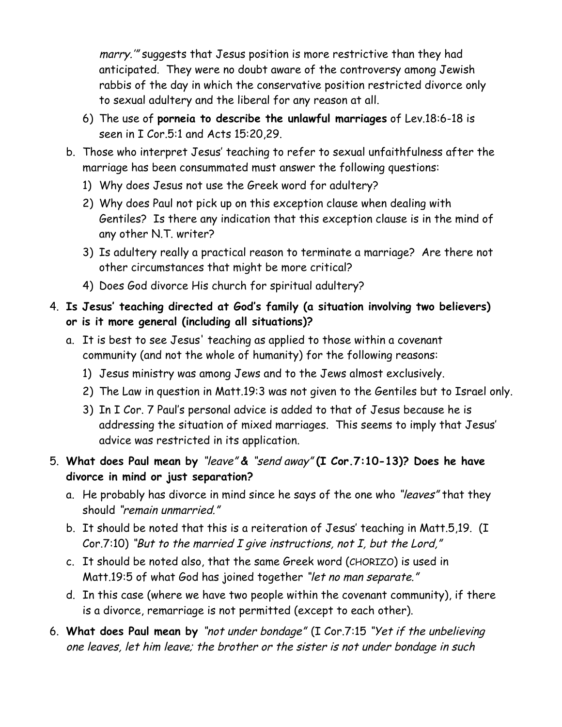marry.'" suggests that Jesus position is more restrictive than they had anticipated. They were no doubt aware of the controversy among Jewish rabbis of the day in which the conservative position restricted divorce only to sexual adultery and the liberal for any reason at all.

- 6) The use of **porneia to describe the unlawful marriages** of Lev.18:6-18 is seen in I Cor.5:1 and Acts 15:20,29.
- b. Those who interpret Jesus' teaching to refer to sexual unfaithfulness after the marriage has been consummated must answer the following questions:
	- 1) Why does Jesus not use the Greek word for adultery?
	- 2) Why does Paul not pick up on this exception clause when dealing with Gentiles? Is there any indication that this exception clause is in the mind of any other N.T. writer?
	- 3) Is adultery really a practical reason to terminate a marriage? Are there not other circumstances that might be more critical?
	- 4) Does God divorce His church for spiritual adultery?
- 4. **Is Jesus' teaching directed at God's family (a situation involving two believers) or is it more general (including all situations)?**
	- a. It is best to see Jesus' teaching as applied to those within a covenant community (and not the whole of humanity) for the following reasons:
		- 1) Jesus ministry was among Jews and to the Jews almost exclusively.
		- 2) The Law in question in Matt.19:3 was not given to the Gentiles but to Israel only.
		- 3) In I Cor. 7 Paul's personal advice is added to that of Jesus because he is addressing the situation of mixed marriages. This seems to imply that Jesus' advice was restricted in its application.
- 5. **What does Paul mean by** "leave" **&** "send away" **(I Cor.7:10-13)? Does he have divorce in mind or just separation?**
	- a. He probably has divorce in mind since he says of the one who "leaves" that they should "remain unmarried."
	- b. It should be noted that this is a reiteration of Jesus' teaching in Matt.5,19. (I Cor.7:10) "But to the married  $I$  give instructions, not  $I$ , but the Lord,"
	- c. It should be noted also, that the same Greek word (CHORIZO) is used in Matt.19:5 of what God has joined together "let no man separate."
	- d. In this case (where we have two people within the covenant community), if there is a divorce, remarriage is not permitted (except to each other).
- 6. **What does Paul mean by** "not under bondage" (I Cor.7:15 "Yet if the unbelieving one leaves, let him leave; the brother or the sister is not under bondage in such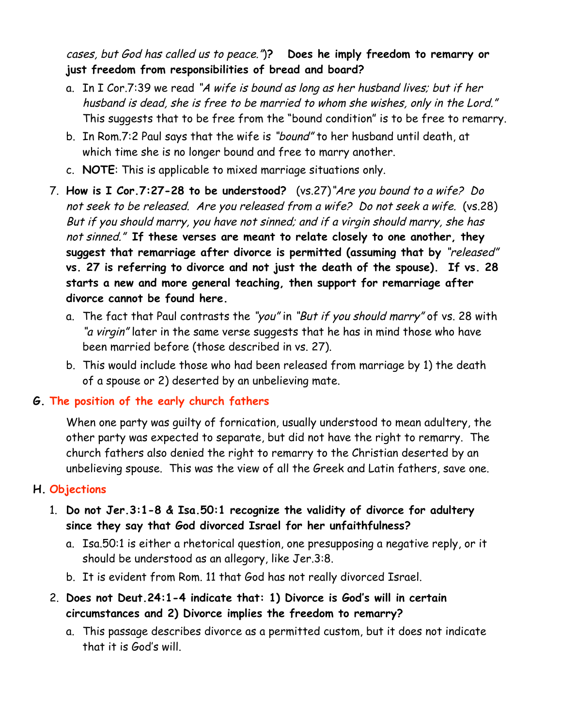# cases, but God has called us to peace.")**? Does he imply freedom to remarry or just freedom from responsibilities of bread and board?**

- a. In I Cor.7:39 we read "A wife is bound as long as her husband lives; but if her husband is dead, she is free to be married to whom she wishes, only in the Lord." This suggests that to be free from the "bound condition" is to be free to remarry.
- b. In Rom.7:2 Paul says that the wife is "bound" to her husband until death, at which time she is no longer bound and free to marry another.
- c. **NOTE**: This is applicable to mixed marriage situations only.
- 7. **How is I Cor.7:27-28 to be understood?** (vs.27)"Are you bound to a wife? Do not seek to be released. Are you released from a wife? Do not seek a wife. (vs.28) But if you should marry, you have not sinned; and if a virgin should marry, she has not sinned." **If these verses are meant to relate closely to one another, they suggest that remarriage after divorce is permitted (assuming that by** "released" **vs. 27 is referring to divorce and not just the death of the spouse). If vs. 28 starts a new and more general teaching, then support for remarriage after divorce cannot be found here.**
	- a. The fact that Paul contrasts the "you" in "But if you should marry" of vs. 28 with "a virgin" later in the same verse suggests that he has in mind those who have been married before (those described in vs. 27).
	- b. This would include those who had been released from marriage by 1) the death of a spouse or 2) deserted by an unbelieving mate.

# **G. The position of the early church fathers**

When one party was guilty of fornication, usually understood to mean adultery, the other party was expected to separate, but did not have the right to remarry. The church fathers also denied the right to remarry to the Christian deserted by an unbelieving spouse. This was the view of all the Greek and Latin fathers, save one.

# **H. Objections**

- 1. **Do not Jer.3:1-8 & Isa.50:1 recognize the validity of divorce for adultery since they say that God divorced Israel for her unfaithfulness?**
	- a. Isa.50:1 is either a rhetorical question, one presupposing a negative reply, or it should be understood as an allegory, like Jer.3:8.
	- b. It is evident from Rom. 11 that God has not really divorced Israel.
- 2. **Does not Deut.24:1-4 indicate that: 1) Divorce is God's will in certain circumstances and 2) Divorce implies the freedom to remarry?**
	- a. This passage describes divorce as a permitted custom, but it does not indicate that it is God's will.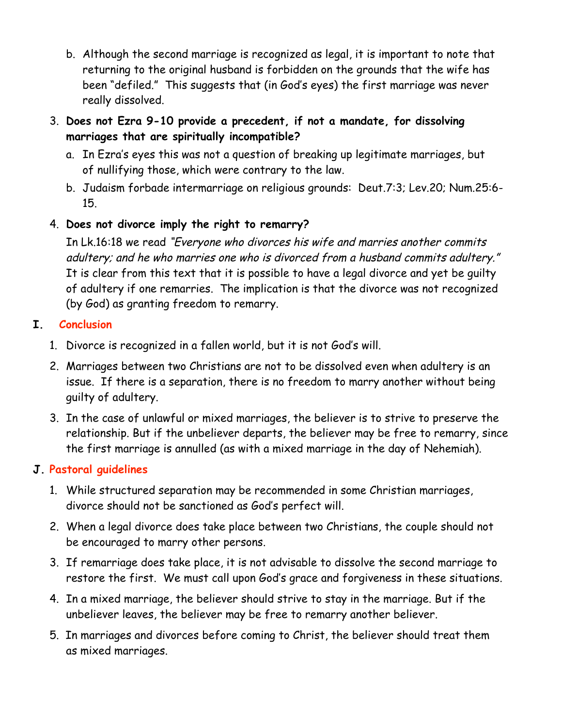- b. Although the second marriage is recognized as legal, it is important to note that returning to the original husband is forbidden on the grounds that the wife has been "defiled." This suggests that (in God's eyes) the first marriage was never really dissolved.
- 3. **Does not Ezra 9-10 provide a precedent, if not a mandate, for dissolving marriages that are spiritually incompatible?**
	- a. In Ezra's eyes this was not a question of breaking up legitimate marriages, but of nullifying those, which were contrary to the law.
	- b. Judaism forbade intermarriage on religious grounds: Deut.7:3; Lev.20; Num.25:6- 15.
- 4. **Does not divorce imply the right to remarry?**

In Lk.16:18 we read "Everyone who divorces his wife and marries another commits adultery; and he who marries one who is divorced from a husband commits adultery." It is clear from this text that it is possible to have a legal divorce and yet be guilty of adultery if one remarries. The implication is that the divorce was not recognized (by God) as granting freedom to remarry.

- **I. Conclusion**
	- 1. Divorce is recognized in a fallen world, but it is not God's will.
	- 2. Marriages between two Christians are not to be dissolved even when adultery is an issue. If there is a separation, there is no freedom to marry another without being guilty of adultery.
	- 3. In the case of unlawful or mixed marriages, the believer is to strive to preserve the relationship. But if the unbeliever departs, the believer may be free to remarry, since the first marriage is annulled (as with a mixed marriage in the day of Nehemiah).

### **J. Pastoral guidelines**

- 1. While structured separation may be recommended in some Christian marriages, divorce should not be sanctioned as God's perfect will.
- 2. When a legal divorce does take place between two Christians, the couple should not be encouraged to marry other persons.
- 3. If remarriage does take place, it is not advisable to dissolve the second marriage to restore the first. We must call upon God's grace and forgiveness in these situations.
- 4. In a mixed marriage, the believer should strive to stay in the marriage. But if the unbeliever leaves, the believer may be free to remarry another believer.
- 5. In marriages and divorces before coming to Christ, the believer should treat them as mixed marriages.